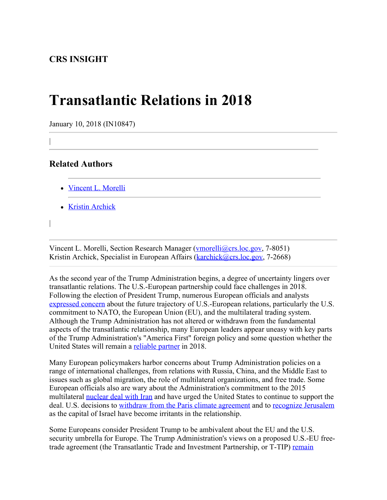## **Transatlantic Relations in 2018**

January 10, 2018 (IN10847)

## **Related Authors**

|

|

- [Vincent L. Morelli](http://www.crs.gov/Author/index?id=100790)
- [Kristin Archick](http://www.crs.gov/Author/index?id=72519)

Vincent L. Morelli, Section Research Manager ([vmorelli@crs.loc.gov](mailto:vmorelli@crs.loc.gov), 7-8051) Kristin Archick, Specialist in European Affairs ([karchick@crs.loc.gov,](mailto:karchick@crs.loc.gov) 7-2668)

As the second year of the Trump Administration begins, a degree of uncertainty lingers over transatlantic relations. The U.S.-European partnership could face challenges in 2018. Following the election of President Trump, numerous European officials and analysts [expressed concern](https://www.washingtonpost.com/world/europe-leaders-shocked-as-trump-slams-nato-eu-raising-fears-of-transatlantic-split/2017/01/16/82047072-dbe6-11e6-b2cf-b67fe3285cbc_story.html?utm_term=.94dbd33c1d82) about the future trajectory of U.S.-European relations, particularly the U.S. commitment to NATO, the European Union (EU), and the multilateral trading system. Although the Trump Administration has not altered or withdrawn from the fundamental aspects of the transatlantic relationship, many European leaders appear uneasy with key parts of the Trump Administration's "America First" foreign policy and some question whether the United States will remain a [reliable partner](http://www.gmfus.org/publications/atlanticist-and-post-atlanticist-wishful-thinking) in 2018.

Many European policymakers harbor concerns about Trump Administration policies on a range of international challenges, from relations with Russia, China, and the Middle East to issues such as global migration, the role of multilateral organizations, and free trade. Some European officials also are wary about the Administration's commitment to the 2015 multilateral [nuclear deal with Iran](https://www.nytimes.com/2017/11/07/us/politics/europe-trump-iran-nuclear-deal.html) and have urged the United States to continue to support the deal. U.S. decisions to [withdraw from the Paris climate agreement](https://www.nytimes.com/2017/06/01/world/europe/climate-paris-agreement-trump-china.html) and to [recognize Jerusalem](http://www.bbc.com/news/world-middle-east-42250340) as the capital of Israel have become irritants in the relationship.

Some Europeans consider President Trump to be ambivalent about the EU and the U.S. security umbrella for Europe. The Trump Administration's views on a proposed U.S.-EU freetrade agreement (the Transatlantic Trade and Investment Partnership, or T-TIP) [remain](https://www.ft.com/content/7996f226-282a-11e7-9ec8-168383da43b7)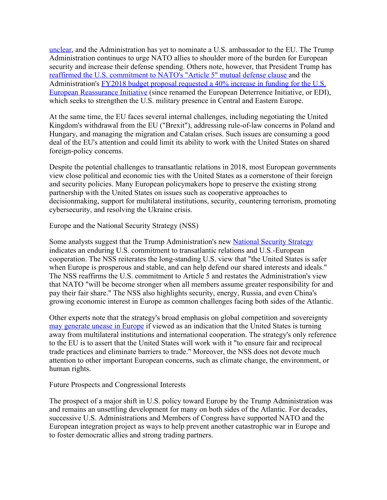[unclear](https://www.ft.com/content/7996f226-282a-11e7-9ec8-168383da43b7), and the Administration has yet to nominate a U.S. ambassador to the EU. The Trump Administration continues to urge NATO allies to shoulder more of the burden for European security and increase their defense spending. Others note, however, that President Trump has [reaffirmed the U.S. commitment to NATO's "Article 5" mutual defense clause](https://www.nytimes.com/2017/06/09/world/europe/trump-nato-defense-article-5.html?_r=2) and the Administration's [FY2018 budget proposal requested a 40% increase in funding for the U.S.](https://www.defense.gov/News/Article/Article/1199828/2018-budget-request-for-european-reassurance-initiative-grows-to-47-billion/) [European Reassurance Initiative](https://www.defense.gov/News/Article/Article/1199828/2018-budget-request-for-european-reassurance-initiative-grows-to-47-billion/) (since renamed the European Deterrence Initiative, or EDI), which seeks to strengthen the U.S. military presence in Central and Eastern Europe.

At the same time, the EU faces several internal challenges, including negotiating the United Kingdom's withdrawal from the EU ("Brexit"), addressing rule-of-law concerns in Poland and Hungary, and managing the migration and Catalan crises. Such issues are consuming a good deal of the EU's attention and could limit its ability to work with the United States on shared foreign-policy concerns.

Despite the potential challenges to transatlantic relations in 2018, most European governments view close political and economic ties with the United States as a cornerstone of their foreign and security policies. Many European policymakers hope to preserve the existing strong partnership with the United States on issues such as cooperative approaches to decisionmaking, support for multilateral institutions, security, countering terrorism, promoting cybersecurity, and resolving the Ukraine crisis.

Europe and the National Security Strategy (NSS)

Some analysts suggest that the Trump Administration's new [National Security Strategy](https://www.whitehouse.gov/wp-content/uploads/2017/12/NSS-Final-12-18-2017-0905.pdf) indicates an enduring U.S. commitment to transatlantic relations and U.S.-European cooperation. The NSS reiterates the long-standing U.S. view that "the United States is safer when Europe is prosperous and stable, and can help defend our shared interests and ideals." The NSS reaffirms the U.S. commitment to Article 5 and restates the Administration's view that NATO "will be become stronger when all members assume greater responsibility for and pay their fair share." The NSS also highlights security, energy, Russia, and even China's growing economic interest in Europe as common challenges facing both sides of the Atlantic.

Other experts note that the strategy's broad emphasis on global competition and sovereignty [may generate unease in Europe](https://www.washingtonpost.com/news/global-opinions/wp/2017/12/22/trumps-national-security-strategy-ignores-the-lessons-of-europes-bloody-history/?utm_term=.353858efce7b) if viewed as an indication that the United States is turning away from multilateral institutions and international cooperation. The strategy's only reference to the EU is to assert that the United States will work with it "to ensure fair and reciprocal trade practices and eliminate barriers to trade." Moreover, the NSS does not devote much attention to other important European concerns, such as climate change, the environment, or human rights.

Future Prospects and Congressional Interests

The prospect of a major shift in U.S. policy toward Europe by the Trump Administration was and remains an unsettling development for many on both sides of the Atlantic. For decades, successive U.S. Administrations and Members of Congress have supported NATO and the European integration project as ways to help prevent another catastrophic war in Europe and to foster democratic allies and strong trading partners.